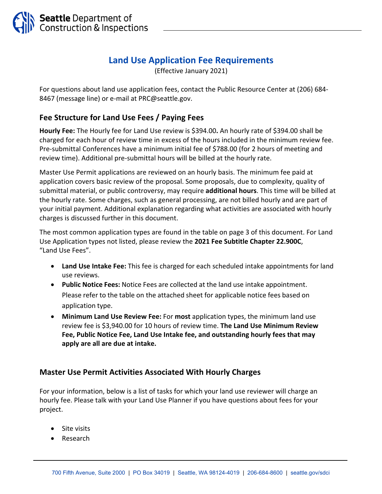

## **Land Use Application Fee Requirements**

(Effective January 2021)

For questions about land use application fees, contact the Public Resource Center at (206) 684‐ 8467 (message line) or e-mail at PRC@seattle.gov.

## **Fee Structure for Land Use Fees / Paying Fees**

**Hourly Fee:** The Hourly fee for Land Use review is \$394.00**.** An hourly rate of \$394.00 shall be charged for each hour of review time in excess of the hours included in the minimum review fee. Pre‐submittal Conferences have a minimum initial fee of \$788.00 (for 2 hours of meeting and review time). Additional pre‐submittal hours will be billed at the hourly rate.

Master Use Permit applications are reviewed on an hourly basis. The minimum fee paid at application covers basic review of the proposal. Some proposals, due to complexity, quality of submittal material, or public controversy, may require **additional hours**. This time will be billed at the hourly rate. Some charges, such as general processing, are not billed hourly and are part of your initial payment. Additional explanation regarding what activities are associated with hourly charges is discussed further in this document.

The most common application types are found in the table on page 3 of this document. For Land Use Application types not listed, please review the **2021 Fee Subtitle Chapter 22.900C**, "Land Use Fees".

- **Land Use Intake Fee:** This fee is charged for each scheduled intake appointments for land use reviews.
- **Public Notice Fees:** Notice Fees are collected at the land use intake appointment. Please refer to the table on the attached sheet for applicable notice fees based on application type.
- **Minimum Land Use Review Fee:** For **most** application types, the minimum land use review fee is \$3,940.00 for 10 hours of review time. **The Land Use Minimum Review Fee, Public Notice Fee, Land Use Intake fee, and outstanding hourly fees that may apply are all are due at intake.**

## **Master Use Permit Activities Associated With Hourly Charges**

For your information, below is a list of tasks for which your land use reviewer will charge an hourly fee. Please talk with your Land Use Planner if you have questions about fees for your project.

- Site visits
- Research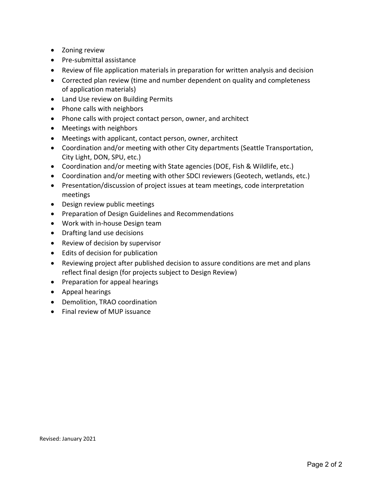- Zoning review
- Pre-submittal assistance
- Review of file application materials in preparation for written analysis and decision
- Corrected plan review (time and number dependent on quality and completeness of application materials)
- Land Use review on Building Permits
- Phone calls with neighbors
- Phone calls with project contact person, owner, and architect
- Meetings with neighbors
- Meetings with applicant, contact person, owner, architect
- Coordination and/or meeting with other City departments (Seattle Transportation, City Light, DON, SPU, etc.)
- Coordination and/or meeting with State agencies (DOE, Fish & Wildlife, etc.)
- Coordination and/or meeting with other SDCI reviewers (Geotech, wetlands, etc.)
- Presentation/discussion of project issues at team meetings, code interpretation meetings
- Design review public meetings
- **•** Preparation of Design Guidelines and Recommendations
- Work with in-house Design team
- Drafting land use decisions
- Review of decision by supervisor
- Edits of decision for publication
- Reviewing project after published decision to assure conditions are met and plans reflect final design (for projects subject to Design Review)
- Preparation for appeal hearings
- Appeal hearings
- Demolition, TRAO coordination
- Final review of MUP issuance